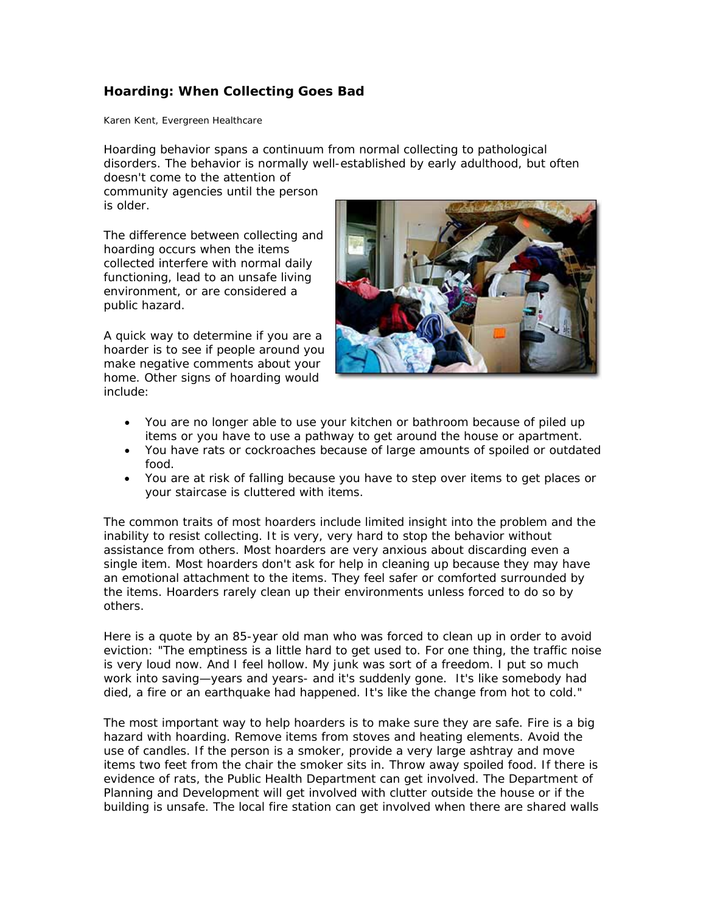## **Hoarding: When Collecting Goes Bad**

Karen Kent, Evergreen Healthcare

Hoarding behavior spans a continuum from normal collecting to pathological disorders. The behavior is normally well-established by early adulthood, but often

doesn't come to the attention of community agencies until the person is older.

The difference between collecting and hoarding occurs when the items collected interfere with normal daily functioning, lead to an unsafe living environment, or are considered a public hazard.

A quick way to determine if you are a hoarder is to see if people around you make negative comments about your home. Other signs of hoarding would include:



- You are no longer able to use your kitchen or bathroom because of piled up items or you have to use a pathway to get around the house or apartment.
- You have rats or cockroaches because of large amounts of spoiled or outdated food.
- You are at risk of falling because you have to step over items to get places or your staircase is cluttered with items.

The common traits of most hoarders include limited insight into the problem and the inability to resist collecting. It is very, very hard to stop the behavior without assistance from others. Most hoarders are very anxious about discarding even a single item. Most hoarders don't ask for help in cleaning up because they may have an emotional attachment to the items. They feel safer or comforted surrounded by the items. Hoarders rarely clean up their environments unless forced to do so by others.

Here is a quote by an 85-year old man who was forced to clean up in order to avoid eviction: "The emptiness is a little hard to get used to. For one thing, the traffic noise is very loud now. And I feel hollow. My junk was sort of a freedom. I put so much work into saving—years and years- and it's suddenly gone. It's like somebody had died, a fire or an earthquake had happened. It's like the change from hot to cold."

The most important way to help hoarders is to make sure they are safe. Fire is a big hazard with hoarding. Remove items from stoves and heating elements. Avoid the use of candles. If the person is a smoker, provide a very large ashtray and move items two feet from the chair the smoker sits in. Throw away spoiled food. If there is evidence of rats, the Public Health Department can get involved. The Department of Planning and Development will get involved with clutter outside the house or if the building is unsafe. The local fire station can get involved when there are shared walls